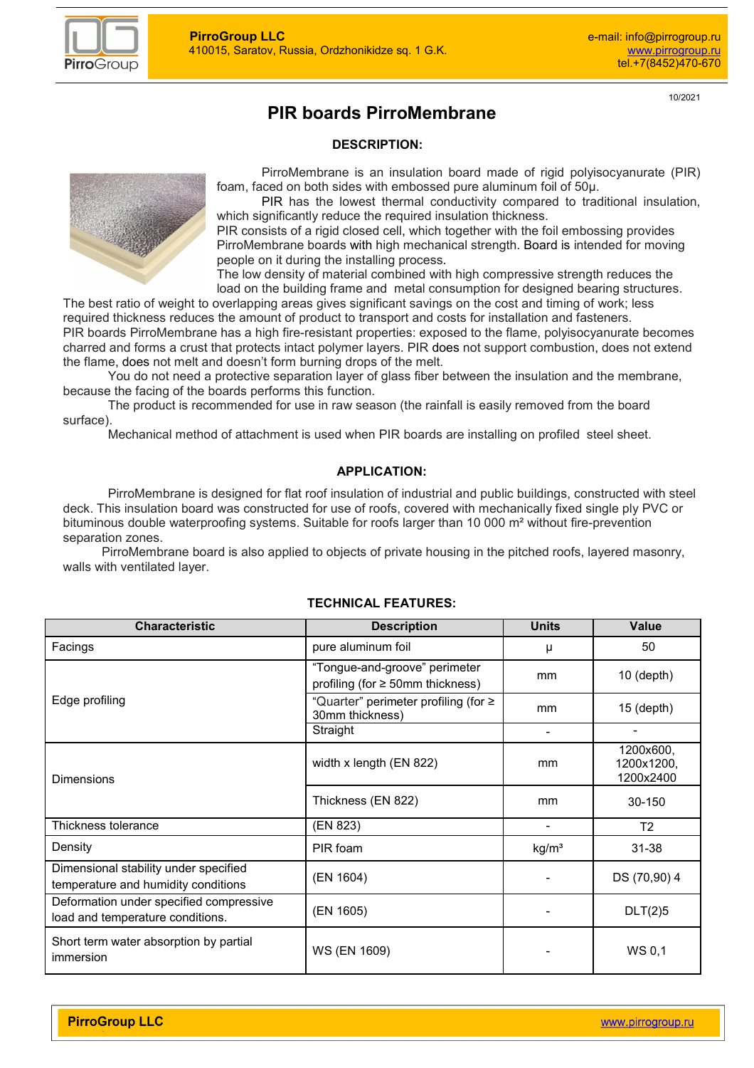

10/2021

# **PIR boards PirroMembrane**

#### **DESCRIPTION:**

PirroMembrane is an insulation board made of rigid polyisocyanurate (PIR) foam, faced on both sides with embossed pure aluminum foil of 50µ.

PIR has the lowest thermal conductivity compared to traditional insulation, which significantly reduce the required insulation thickness.

PIR consists of a rigid closed cell, which together with the foil embossing provides PirroMembrane boards with high mechanical strength. Board is intended for moving people on it during the installing process.

The low density of material combined with high compressive strength reduces the load on the building frame and metal consumption for designed bearing structures.

The best ratio of weight to overlapping areas gives significant savings on the cost and timing of work; less required thickness reduces the amount of product to transport and costs for installation and fasteners. PIR boards PirroMembrane has a high fire-resistant properties: exposed to the flame, polyisocyanurate becomes charred and forms a crust that protects intact polymer layers. PIR does not support combustion, does not extend the flame, does not melt and doesn't form burning drops of the melt.

You do not need a protective separation layer of glass fiber between the insulation and the membrane, because the facing of the boards performs this function.

The product is recommended for use in raw season (the rainfall is easily removed from the board surface).

Mechanical method of attachment is used when PIR boards are installing on profiled steel sheet.

#### **APPLICATION:**

PirroMembrane is designed for flat roof insulation of industrial and public buildings, constructed with steel deck. This insulation board was constructed for use of roofs, covered with mechanically fixed single ply PVC or bituminous double waterproofing systems. Suitable for roofs larger than 10 000 m<sup>2</sup> without fire-prevention separation zones.

 PirroMembrane board is also applied to objects of private housing in the pitched roofs, layered masonry, walls with ventilated layer.

| <b>Characteristic</b>                                                        | <b>Description</b>                                                     | <b>Units</b>      | Value                                |  |
|------------------------------------------------------------------------------|------------------------------------------------------------------------|-------------------|--------------------------------------|--|
| Facings                                                                      | pure aluminum foil                                                     | μ                 | 50                                   |  |
|                                                                              | "Tongue-and-groove" perimeter<br>profiling (for $\geq$ 50mm thickness) | mm                | $10$ (depth)                         |  |
| Edge profiling                                                               | "Quarter" perimeter profiling (for ≥<br>30mm thickness)                | mm                | $15$ (depth)                         |  |
|                                                                              | Straight                                                               |                   |                                      |  |
| <b>Dimensions</b>                                                            | width x length (EN 822)                                                | mm                | 1200x600,<br>1200x1200,<br>1200x2400 |  |
|                                                                              | Thickness (EN 822)                                                     | mm                | 30-150                               |  |
| Thickness tolerance                                                          | (EN 823)                                                               | ٠                 | T <sub>2</sub>                       |  |
| Density                                                                      | PIR foam                                                               | kg/m <sup>3</sup> | 31-38                                |  |
| Dimensional stability under specified<br>temperature and humidity conditions | (EN 1604)                                                              |                   | DS (70,90) 4                         |  |
| Deformation under specified compressive<br>load and temperature conditions.  | (EN 1605)                                                              |                   | DLT(2)5                              |  |
| Short term water absorption by partial<br>immersion                          | WS (EN 1609)                                                           |                   | WS 0,1                               |  |

# **TECHNICAL FEATURES:**